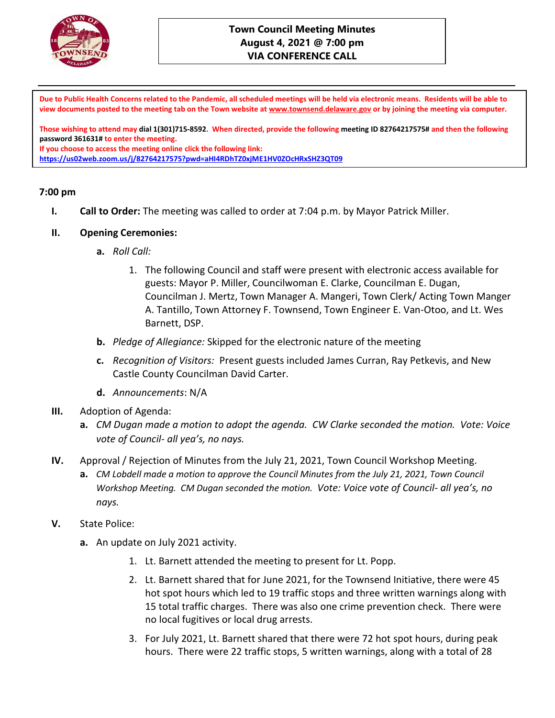

### **Town Council Meeting Minutes August 4, 2021 @ 7:00 pm VIA CONFERENCE CALL**

**Due to Public Health Concerns related to the Pandemic, all scheduled meetings will be held via electronic means. Residents will be able to view documents posted to the meeting tab on the Town website at [www.townsend.delaware.gov](http://www.townsend.delaware.gov/) or by joining the meeting via computer.**

**Those wishing to attend may dial 1(301)715-8592. When directed, provide the following meeting ID 82764217575# and then the following password 361631# to enter the meeting.** 

**If you choose to access the meeting online click the following link:** 

**<https://us02web.zoom.us/j/82764217575?pwd=aHI4RDhTZ0xjME1HV0ZOcHRxSHZ3QT09>**

#### **7:00 pm**

**I. Call to Order:** The meeting was called to order at 7:04 p.m. by Mayor Patrick Miller.

#### **II. Opening Ceremonies:**

- **a.** *Roll Call:* 
	- 1. The following Council and staff were present with electronic access available for guests: Mayor P. Miller, Councilwoman E. Clarke, Councilman E. Dugan, Councilman J. Mertz, Town Manager A. Mangeri, Town Clerk/ Acting Town Manger A. Tantillo, Town Attorney F. Townsend, Town Engineer E. Van-Otoo, and Lt. Wes Barnett, DSP.
- **b.** *Pledge of Allegiance:* Skipped for the electronic nature of the meeting
- **c.** *Recognition of Visitors:* Present guests included James Curran, Ray Petkevis, and New Castle County Councilman David Carter.
- **d.** *Announcements*: N/A
- **III.** Adoption of Agenda:
	- **a.** *CM Dugan made a motion to adopt the agenda. CW Clarke seconded the motion. Vote: Voice vote of Council- all yea's, no nays.*
- **IV.** Approval / Rejection of Minutes from the July 21, 2021, Town Council Workshop Meeting.
	- **a.** *CM Lobdell made a motion to approve the Council Minutes from the July 21, 2021, Town Council Workshop Meeting. CM Dugan seconded the motion. Vote: Voice vote of Council- all yea's, no nays.*
- **V.** State Police:
	- **a.** An update on July 2021 activity.
		- 1. Lt. Barnett attended the meeting to present for Lt. Popp.
		- 2. Lt. Barnett shared that for June 2021, for the Townsend Initiative, there were 45 hot spot hours which led to 19 traffic stops and three written warnings along with 15 total traffic charges. There was also one crime prevention check. There were no local fugitives or local drug arrests.
		- 3. For July 2021, Lt. Barnett shared that there were 72 hot spot hours, during peak hours. There were 22 traffic stops, 5 written warnings, along with a total of 28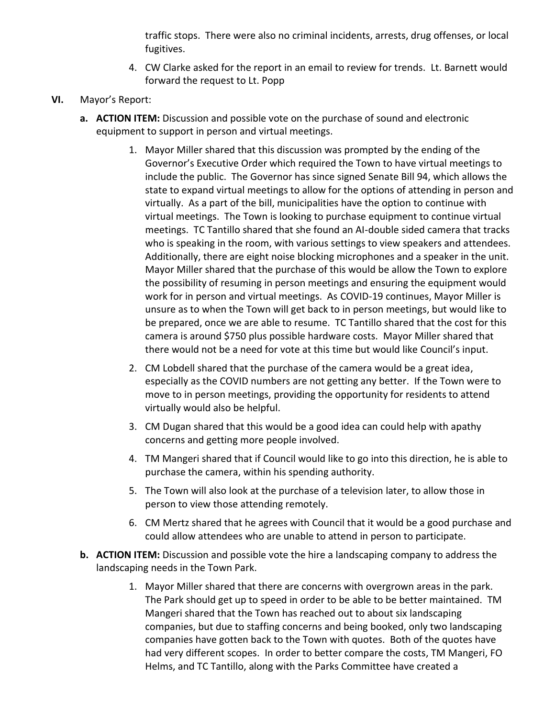traffic stops. There were also no criminal incidents, arrests, drug offenses, or local fugitives.

- 4. CW Clarke asked for the report in an email to review for trends. Lt. Barnett would forward the request to Lt. Popp
- **VI.** Mayor's Report:
	- **a. ACTION ITEM:** Discussion and possible vote on the purchase of sound and electronic equipment to support in person and virtual meetings.
		- 1. Mayor Miller shared that this discussion was prompted by the ending of the Governor's Executive Order which required the Town to have virtual meetings to include the public. The Governor has since signed Senate Bill 94, which allows the state to expand virtual meetings to allow for the options of attending in person and virtually. As a part of the bill, municipalities have the option to continue with virtual meetings. The Town is looking to purchase equipment to continue virtual meetings. TC Tantillo shared that she found an AI-double sided camera that tracks who is speaking in the room, with various settings to view speakers and attendees. Additionally, there are eight noise blocking microphones and a speaker in the unit. Mayor Miller shared that the purchase of this would be allow the Town to explore the possibility of resuming in person meetings and ensuring the equipment would work for in person and virtual meetings. As COVID-19 continues, Mayor Miller is unsure as to when the Town will get back to in person meetings, but would like to be prepared, once we are able to resume. TC Tantillo shared that the cost for this camera is around \$750 plus possible hardware costs. Mayor Miller shared that there would not be a need for vote at this time but would like Council's input.
		- 2. CM Lobdell shared that the purchase of the camera would be a great idea, especially as the COVID numbers are not getting any better. If the Town were to move to in person meetings, providing the opportunity for residents to attend virtually would also be helpful.
		- 3. CM Dugan shared that this would be a good idea can could help with apathy concerns and getting more people involved.
		- 4. TM Mangeri shared that if Council would like to go into this direction, he is able to purchase the camera, within his spending authority.
		- 5. The Town will also look at the purchase of a television later, to allow those in person to view those attending remotely.
		- 6. CM Mertz shared that he agrees with Council that it would be a good purchase and could allow attendees who are unable to attend in person to participate.
	- **b. ACTION ITEM:** Discussion and possible vote the hire a landscaping company to address the landscaping needs in the Town Park.
		- 1. Mayor Miller shared that there are concerns with overgrown areas in the park. The Park should get up to speed in order to be able to be better maintained. TM Mangeri shared that the Town has reached out to about six landscaping companies, but due to staffing concerns and being booked, only two landscaping companies have gotten back to the Town with quotes. Both of the quotes have had very different scopes. In order to better compare the costs, TM Mangeri, FO Helms, and TC Tantillo, along with the Parks Committee have created a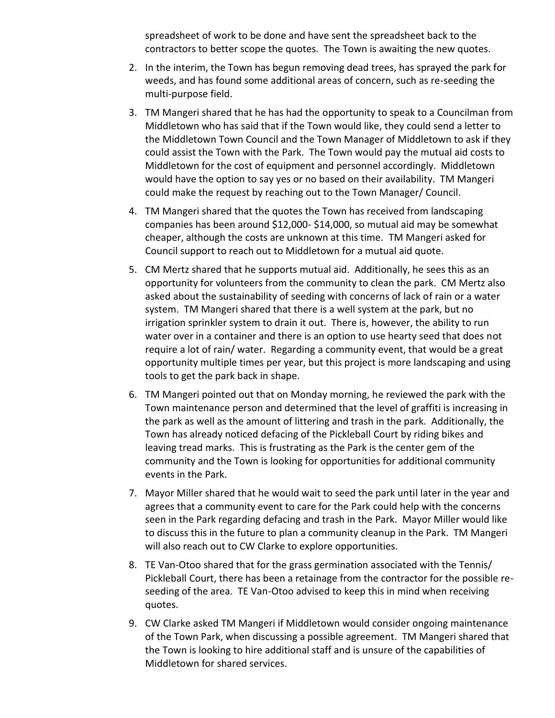spreadsheet of work to be done and have sent the spreadsheet back to the contractors to better scope the quotes. The Town is awaiting the new quotes.

- 2. In the interim, the Town has begun removing dead trees, has sprayed the park for weeds, and has found some additional areas of concern, such as re-seeding the multi-purpose field.
- 3. TM Mangeri shared that he has had the opportunity to speak to a Councilman from Middletown who has said that if the Town would like, they could send a letter to the Middletown Town Council and the Town Manager of Middletown to ask if they could assist the Town with the Park. The Town would pay the mutual aid costs to Middletown for the cost of equipment and personnel accordingly. Middletown would have the option to say yes or no based on their availability. TM Mangeri could make the request by reaching out to the Town Manager/ Council.
- 4. TM Mangeri shared that the quotes the Town has received from landscaping companies has been around \$12,000- \$14,000, so mutual aid may be somewhat cheaper, although the costs are unknown at this time. TM Mangeri asked for Council support to reach out to Middletown for a mutual aid quote.
- 5. CM Mertz shared that he supports mutual aid. Additionally, he sees this as an opportunity for volunteers from the community to clean the park. CM Mertz also asked about the sustainability of seeding with concerns of lack of rain or a water system. TM Mangeri shared that there is a well system at the park, but no irrigation sprinkler system to drain it out. There is, however, the ability to run water over in a container and there is an option to use hearty seed that does not require a lot of rain/ water. Regarding a community event, that would be a great opportunity multiple times per year, but this project is more landscaping and using tools to get the park back in shape.
- 6. TM Mangeri pointed out that on Monday morning, he reviewed the park with the Town maintenance person and determined that the level of graffiti is increasing in the park as well as the amount of littering and trash in the park. Additionally, the Town has already noticed defacing of the Pickleball Court by riding bikes and leaving tread marks. This is frustrating as the Park is the center gem of the community and the Town is looking for opportunities for additional community events in the Park.
- 7. Mayor Miller shared that he would wait to seed the park until later in the year and agrees that a community event to care for the Park could help with the concerns seen in the Park regarding defacing and trash in the Park. Mayor Miller would like to discuss this in the future to plan a community cleanup in the Park. TM Mangeri will also reach out to CW Clarke to explore opportunities.
- 8. TE Van-Otoo shared that for the grass germination associated with the Tennis/ Pickleball Court, there has been a retainage from the contractor for the possible reseeding of the area. TE Van-Otoo advised to keep this in mind when receiving quotes.
- 9. CW Clarke asked TM Mangeri if Middletown would consider ongoing maintenance of the Town Park, when discussing a possible agreement. TM Mangeri shared that the Town is looking to hire additional staff and is unsure of the capabilities of Middletown for shared services.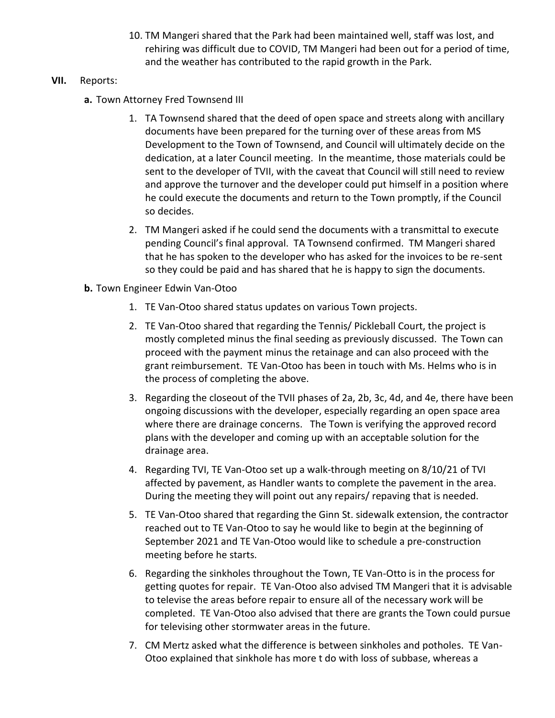10. TM Mangeri shared that the Park had been maintained well, staff was lost, and rehiring was difficult due to COVID, TM Mangeri had been out for a period of time, and the weather has contributed to the rapid growth in the Park.

## **VII.** Reports:

- **a.** Town Attorney Fred Townsend III
	- 1. TA Townsend shared that the deed of open space and streets along with ancillary documents have been prepared for the turning over of these areas from MS Development to the Town of Townsend, and Council will ultimately decide on the dedication, at a later Council meeting. In the meantime, those materials could be sent to the developer of TVII, with the caveat that Council will still need to review and approve the turnover and the developer could put himself in a position where he could execute the documents and return to the Town promptly, if the Council so decides.
	- 2. TM Mangeri asked if he could send the documents with a transmittal to execute pending Council's final approval. TA Townsend confirmed. TM Mangeri shared that he has spoken to the developer who has asked for the invoices to be re-sent so they could be paid and has shared that he is happy to sign the documents.
- **b.** Town Engineer Edwin Van-Otoo
	- 1. TE Van-Otoo shared status updates on various Town projects.
	- 2. TE Van-Otoo shared that regarding the Tennis/ Pickleball Court, the project is mostly completed minus the final seeding as previously discussed. The Town can proceed with the payment minus the retainage and can also proceed with the grant reimbursement. TE Van-Otoo has been in touch with Ms. Helms who is in the process of completing the above.
	- 3. Regarding the closeout of the TVII phases of 2a, 2b, 3c, 4d, and 4e, there have been ongoing discussions with the developer, especially regarding an open space area where there are drainage concerns. The Town is verifying the approved record plans with the developer and coming up with an acceptable solution for the drainage area.
	- 4. Regarding TVI, TE Van-Otoo set up a walk-through meeting on 8/10/21 of TVI affected by pavement, as Handler wants to complete the pavement in the area. During the meeting they will point out any repairs/ repaving that is needed.
	- 5. TE Van-Otoo shared that regarding the Ginn St. sidewalk extension, the contractor reached out to TE Van-Otoo to say he would like to begin at the beginning of September 2021 and TE Van-Otoo would like to schedule a pre-construction meeting before he starts.
	- 6. Regarding the sinkholes throughout the Town, TE Van-Otto is in the process for getting quotes for repair. TE Van-Otoo also advised TM Mangeri that it is advisable to televise the areas before repair to ensure all of the necessary work will be completed. TE Van-Otoo also advised that there are grants the Town could pursue for televising other stormwater areas in the future.
	- 7. CM Mertz asked what the difference is between sinkholes and potholes. TE Van-Otoo explained that sinkhole has more t do with loss of subbase, whereas a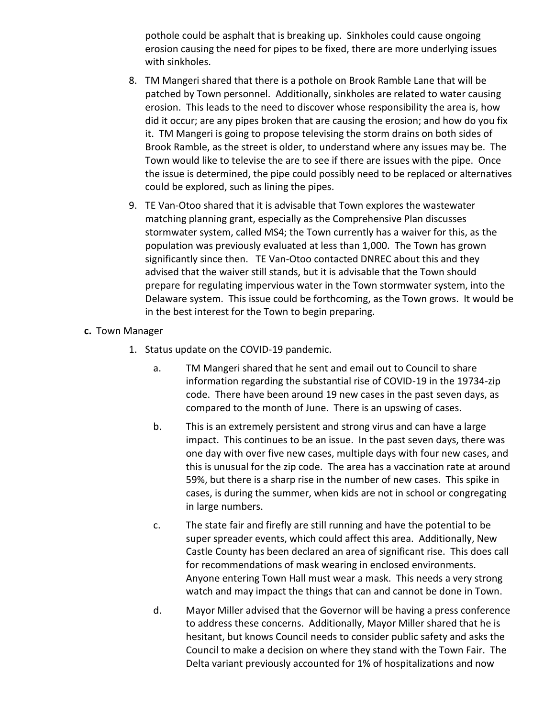pothole could be asphalt that is breaking up. Sinkholes could cause ongoing erosion causing the need for pipes to be fixed, there are more underlying issues with sinkholes.

- 8. TM Mangeri shared that there is a pothole on Brook Ramble Lane that will be patched by Town personnel. Additionally, sinkholes are related to water causing erosion. This leads to the need to discover whose responsibility the area is, how did it occur; are any pipes broken that are causing the erosion; and how do you fix it. TM Mangeri is going to propose televising the storm drains on both sides of Brook Ramble, as the street is older, to understand where any issues may be. The Town would like to televise the are to see if there are issues with the pipe. Once the issue is determined, the pipe could possibly need to be replaced or alternatives could be explored, such as lining the pipes.
- 9. TE Van-Otoo shared that it is advisable that Town explores the wastewater matching planning grant, especially as the Comprehensive Plan discusses stormwater system, called MS4; the Town currently has a waiver for this, as the population was previously evaluated at less than 1,000. The Town has grown significantly since then. TE Van-Otoo contacted DNREC about this and they advised that the waiver still stands, but it is advisable that the Town should prepare for regulating impervious water in the Town stormwater system, into the Delaware system. This issue could be forthcoming, as the Town grows. It would be in the best interest for the Town to begin preparing.

#### **c.** Town Manager

- 1. Status update on the COVID-19 pandemic.
	- a. TM Mangeri shared that he sent and email out to Council to share information regarding the substantial rise of COVID-19 in the 19734-zip code. There have been around 19 new cases in the past seven days, as compared to the month of June. There is an upswing of cases.
	- b. This is an extremely persistent and strong virus and can have a large impact. This continues to be an issue. In the past seven days, there was one day with over five new cases, multiple days with four new cases, and this is unusual for the zip code. The area has a vaccination rate at around 59%, but there is a sharp rise in the number of new cases. This spike in cases, is during the summer, when kids are not in school or congregating in large numbers.
	- c. The state fair and firefly are still running and have the potential to be super spreader events, which could affect this area. Additionally, New Castle County has been declared an area of significant rise. This does call for recommendations of mask wearing in enclosed environments. Anyone entering Town Hall must wear a mask. This needs a very strong watch and may impact the things that can and cannot be done in Town.
	- d. Mayor Miller advised that the Governor will be having a press conference to address these concerns. Additionally, Mayor Miller shared that he is hesitant, but knows Council needs to consider public safety and asks the Council to make a decision on where they stand with the Town Fair. The Delta variant previously accounted for 1% of hospitalizations and now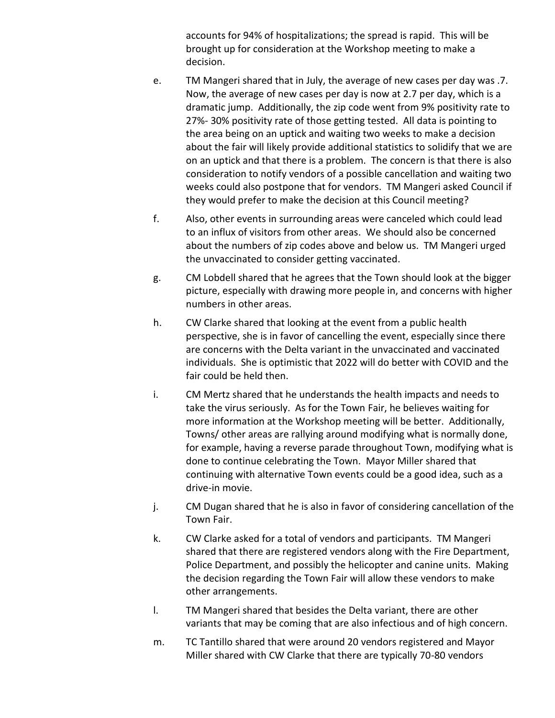accounts for 94% of hospitalizations; the spread is rapid. This will be brought up for consideration at the Workshop meeting to make a decision.

- e. TM Mangeri shared that in July, the average of new cases per day was .7. Now, the average of new cases per day is now at 2.7 per day, which is a dramatic jump. Additionally, the zip code went from 9% positivity rate to 27%- 30% positivity rate of those getting tested. All data is pointing to the area being on an uptick and waiting two weeks to make a decision about the fair will likely provide additional statistics to solidify that we are on an uptick and that there is a problem. The concern is that there is also consideration to notify vendors of a possible cancellation and waiting two weeks could also postpone that for vendors. TM Mangeri asked Council if they would prefer to make the decision at this Council meeting?
- f. Also, other events in surrounding areas were canceled which could lead to an influx of visitors from other areas. We should also be concerned about the numbers of zip codes above and below us. TM Mangeri urged the unvaccinated to consider getting vaccinated.
- g. CM Lobdell shared that he agrees that the Town should look at the bigger picture, especially with drawing more people in, and concerns with higher numbers in other areas.
- h. CW Clarke shared that looking at the event from a public health perspective, she is in favor of cancelling the event, especially since there are concerns with the Delta variant in the unvaccinated and vaccinated individuals. She is optimistic that 2022 will do better with COVID and the fair could be held then.
- i. CM Mertz shared that he understands the health impacts and needs to take the virus seriously. As for the Town Fair, he believes waiting for more information at the Workshop meeting will be better. Additionally, Towns/ other areas are rallying around modifying what is normally done, for example, having a reverse parade throughout Town, modifying what is done to continue celebrating the Town. Mayor Miller shared that continuing with alternative Town events could be a good idea, such as a drive-in movie.
- j. CM Dugan shared that he is also in favor of considering cancellation of the Town Fair.
- k. CW Clarke asked for a total of vendors and participants. TM Mangeri shared that there are registered vendors along with the Fire Department, Police Department, and possibly the helicopter and canine units. Making the decision regarding the Town Fair will allow these vendors to make other arrangements.
- l. TM Mangeri shared that besides the Delta variant, there are other variants that may be coming that are also infectious and of high concern.
- m. TC Tantillo shared that were around 20 vendors registered and Mayor Miller shared with CW Clarke that there are typically 70-80 vendors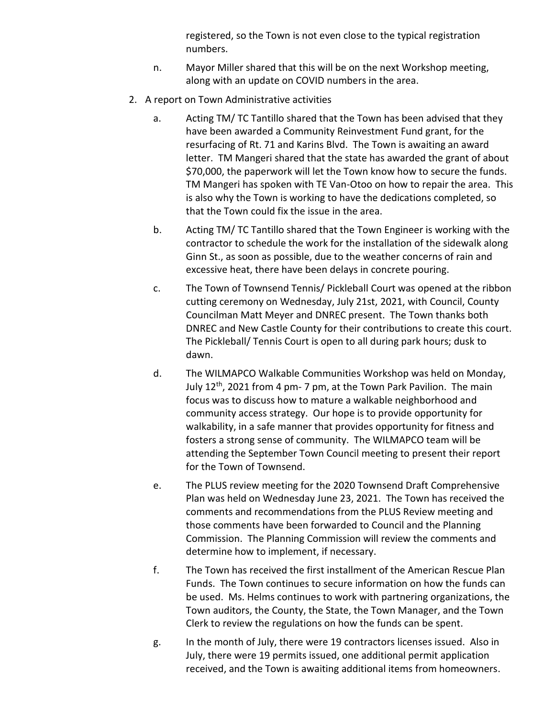registered, so the Town is not even close to the typical registration numbers.

- n. Mayor Miller shared that this will be on the next Workshop meeting, along with an update on COVID numbers in the area.
- 2. A report on Town Administrative activities
	- a. Acting TM/ TC Tantillo shared that the Town has been advised that they have been awarded a Community Reinvestment Fund grant, for the resurfacing of Rt. 71 and Karins Blvd. The Town is awaiting an award letter. TM Mangeri shared that the state has awarded the grant of about \$70,000, the paperwork will let the Town know how to secure the funds. TM Mangeri has spoken with TE Van-Otoo on how to repair the area. This is also why the Town is working to have the dedications completed, so that the Town could fix the issue in the area.
	- b. Acting TM/ TC Tantillo shared that the Town Engineer is working with the contractor to schedule the work for the installation of the sidewalk along Ginn St., as soon as possible, due to the weather concerns of rain and excessive heat, there have been delays in concrete pouring.
	- c. The Town of Townsend Tennis/ Pickleball Court was opened at the ribbon cutting ceremony on Wednesday, July 21st, 2021, with Council, County Councilman Matt Meyer and DNREC present. The Town thanks both DNREC and New Castle County for their contributions to create this court. The Pickleball/ Tennis Court is open to all during park hours; dusk to dawn.
	- d. The WILMAPCO Walkable Communities Workshop was held on Monday, July  $12<sup>th</sup>$ , 2021 from 4 pm- 7 pm, at the Town Park Pavilion. The main focus was to discuss how to mature a walkable neighborhood and community access strategy. Our hope is to provide opportunity for walkability, in a safe manner that provides opportunity for fitness and fosters a strong sense of community. The WILMAPCO team will be attending the September Town Council meeting to present their report for the Town of Townsend.
	- e. The PLUS review meeting for the 2020 Townsend Draft Comprehensive Plan was held on Wednesday June 23, 2021. The Town has received the comments and recommendations from the PLUS Review meeting and those comments have been forwarded to Council and the Planning Commission. The Planning Commission will review the comments and determine how to implement, if necessary.
	- f. The Town has received the first installment of the American Rescue Plan Funds. The Town continues to secure information on how the funds can be used. Ms. Helms continues to work with partnering organizations, the Town auditors, the County, the State, the Town Manager, and the Town Clerk to review the regulations on how the funds can be spent.
	- g. In the month of July, there were 19 contractors licenses issued. Also in July, there were 19 permits issued, one additional permit application received, and the Town is awaiting additional items from homeowners.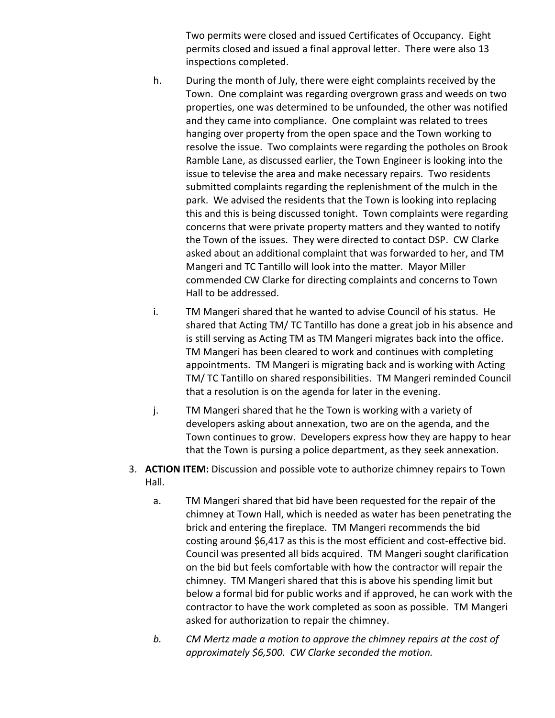Two permits were closed and issued Certificates of Occupancy. Eight permits closed and issued a final approval letter. There were also 13 inspections completed.

- h. During the month of July, there were eight complaints received by the Town. One complaint was regarding overgrown grass and weeds on two properties, one was determined to be unfounded, the other was notified and they came into compliance. One complaint was related to trees hanging over property from the open space and the Town working to resolve the issue. Two complaints were regarding the potholes on Brook Ramble Lane, as discussed earlier, the Town Engineer is looking into the issue to televise the area and make necessary repairs. Two residents submitted complaints regarding the replenishment of the mulch in the park. We advised the residents that the Town is looking into replacing this and this is being discussed tonight. Town complaints were regarding concerns that were private property matters and they wanted to notify the Town of the issues. They were directed to contact DSP. CW Clarke asked about an additional complaint that was forwarded to her, and TM Mangeri and TC Tantillo will look into the matter. Mayor Miller commended CW Clarke for directing complaints and concerns to Town Hall to be addressed.
- i. TM Mangeri shared that he wanted to advise Council of his status. He shared that Acting TM/ TC Tantillo has done a great job in his absence and is still serving as Acting TM as TM Mangeri migrates back into the office. TM Mangeri has been cleared to work and continues with completing appointments. TM Mangeri is migrating back and is working with Acting TM/ TC Tantillo on shared responsibilities. TM Mangeri reminded Council that a resolution is on the agenda for later in the evening.
- j. TM Mangeri shared that he the Town is working with a variety of developers asking about annexation, two are on the agenda, and the Town continues to grow. Developers express how they are happy to hear that the Town is pursing a police department, as they seek annexation.
- 3. **ACTION ITEM:** Discussion and possible vote to authorize chimney repairs to Town Hall.
	- a. TM Mangeri shared that bid have been requested for the repair of the chimney at Town Hall, which is needed as water has been penetrating the brick and entering the fireplace. TM Mangeri recommends the bid costing around \$6,417 as this is the most efficient and cost-effective bid. Council was presented all bids acquired. TM Mangeri sought clarification on the bid but feels comfortable with how the contractor will repair the chimney. TM Mangeri shared that this is above his spending limit but below a formal bid for public works and if approved, he can work with the contractor to have the work completed as soon as possible. TM Mangeri asked for authorization to repair the chimney.
	- *b. CM Mertz made a motion to approve the chimney repairs at the cost of approximately \$6,500. CW Clarke seconded the motion.*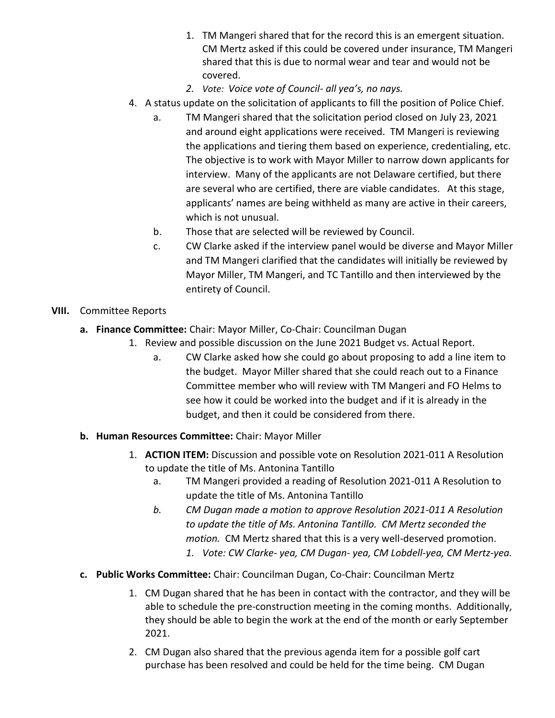- 1. TM Mangeri shared that for the record this is an emergent situation. CM Mertz asked if this could be covered under insurance, TM Mangeri shared that this is due to normal wear and tear and would not be covered.
- *2. Vote: Voice vote of Council- all yea's, no nays.*
- 4. A status update on the solicitation of applicants to fill the position of Police Chief.
	- a. TM Mangeri shared that the solicitation period closed on July 23, 2021 and around eight applications were received. TM Mangeri is reviewing the applications and tiering them based on experience, credentialing, etc. The objective is to work with Mayor Miller to narrow down applicants for interview. Many of the applicants are not Delaware certified, but there are several who are certified, there are viable candidates. At this stage, applicants' names are being withheld as many are active in their careers, which is not unusual.
	- b. Those that are selected will be reviewed by Council.
	- c. CW Clarke asked if the interview panel would be diverse and Mayor Miller and TM Mangeri clarified that the candidates will initially be reviewed by Mayor Miller, TM Mangeri, and TC Tantillo and then interviewed by the entirety of Council.

## **VIII.** Committee Reports

- **a. Finance Committee:** Chair: Mayor Miller, Co-Chair: Councilman Dugan
	- 1. Review and possible discussion on the June 2021 Budget vs. Actual Report.
		- a. CW Clarke asked how she could go about proposing to add a line item to the budget. Mayor Miller shared that she could reach out to a Finance Committee member who will review with TM Mangeri and FO Helms to see how it could be worked into the budget and if it is already in the budget, and then it could be considered from there.
- **b. Human Resources Committee:** Chair: Mayor Miller
	- 1. **ACTION ITEM:** Discussion and possible vote on Resolution 2021-011 A Resolution to update the title of Ms. Antonina Tantillo
		- a. TM Mangeri provided a reading of Resolution 2021-011 A Resolution to update the title of Ms. Antonina Tantillo
		- *b. CM Dugan made a motion to approve Resolution 2021-011 A Resolution to update the title of Ms. Antonina Tantillo. CM Mertz seconded the motion.* CM Mertz shared that this is a very well-deserved promotion.
			- *1. Vote: CW Clarke- yea, CM Dugan- yea, CM Lobdell-yea, CM Mertz-yea.*
- **c. Public Works Committee:** Chair: Councilman Dugan, Co-Chair: Councilman Mertz
	- 1. CM Dugan shared that he has been in contact with the contractor, and they will be able to schedule the pre-construction meeting in the coming months. Additionally, they should be able to begin the work at the end of the month or early September 2021.
	- 2. CM Dugan also shared that the previous agenda item for a possible golf cart purchase has been resolved and could be held for the time being. CM Dugan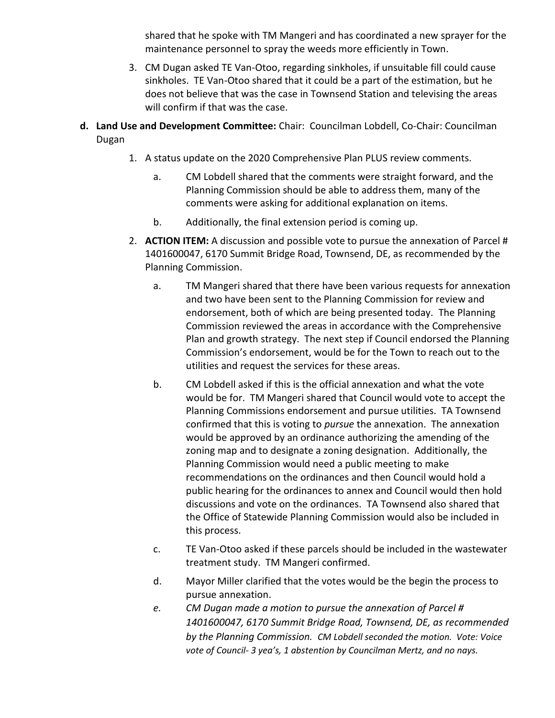shared that he spoke with TM Mangeri and has coordinated a new sprayer for the maintenance personnel to spray the weeds more efficiently in Town.

- 3. CM Dugan asked TE Van-Otoo, regarding sinkholes, if unsuitable fill could cause sinkholes. TE Van-Otoo shared that it could be a part of the estimation, but he does not believe that was the case in Townsend Station and televising the areas will confirm if that was the case.
- **d. Land Use and Development Committee:** Chair: Councilman Lobdell, Co-Chair: Councilman Dugan
	- 1. A status update on the 2020 Comprehensive Plan PLUS review comments.
		- a. CM Lobdell shared that the comments were straight forward, and the Planning Commission should be able to address them, many of the comments were asking for additional explanation on items.
		- b. Additionally, the final extension period is coming up.
	- 2. **ACTION ITEM:** A discussion and possible vote to pursue the annexation of Parcel # 1401600047, 6170 Summit Bridge Road, Townsend, DE, as recommended by the Planning Commission.
		- a. TM Mangeri shared that there have been various requests for annexation and two have been sent to the Planning Commission for review and endorsement, both of which are being presented today. The Planning Commission reviewed the areas in accordance with the Comprehensive Plan and growth strategy. The next step if Council endorsed the Planning Commission's endorsement, would be for the Town to reach out to the utilities and request the services for these areas.
		- b. CM Lobdell asked if this is the official annexation and what the vote would be for. TM Mangeri shared that Council would vote to accept the Planning Commissions endorsement and pursue utilities. TA Townsend confirmed that this is voting to *pursue* the annexation. The annexation would be approved by an ordinance authorizing the amending of the zoning map and to designate a zoning designation. Additionally, the Planning Commission would need a public meeting to make recommendations on the ordinances and then Council would hold a public hearing for the ordinances to annex and Council would then hold discussions and vote on the ordinances. TA Townsend also shared that the Office of Statewide Planning Commission would also be included in this process.
		- c. TE Van-Otoo asked if these parcels should be included in the wastewater treatment study. TM Mangeri confirmed.
		- d. Mayor Miller clarified that the votes would be the begin the process to pursue annexation.
		- *e. CM Dugan made a motion to pursue the annexation of Parcel # 1401600047, 6170 Summit Bridge Road, Townsend, DE, as recommended by the Planning Commission. CM Lobdell seconded the motion. Vote: Voice vote of Council- 3 yea's, 1 abstention by Councilman Mertz, and no nays.*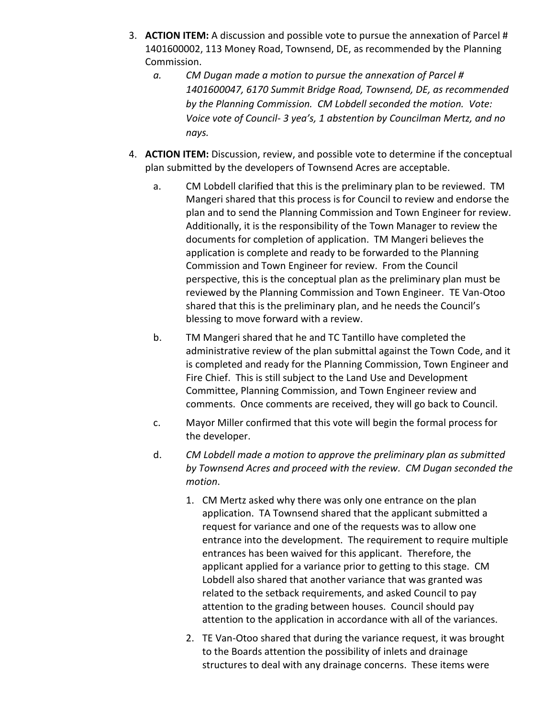- 3. **ACTION ITEM:** A discussion and possible vote to pursue the annexation of Parcel # 1401600002, 113 Money Road, Townsend, DE, as recommended by the Planning Commission.
	- *a. CM Dugan made a motion to pursue the annexation of Parcel # 1401600047, 6170 Summit Bridge Road, Townsend, DE, as recommended by the Planning Commission. CM Lobdell seconded the motion. Vote: Voice vote of Council- 3 yea's, 1 abstention by Councilman Mertz, and no nays.*
- 4. **ACTION ITEM:** Discussion, review, and possible vote to determine if the conceptual plan submitted by the developers of Townsend Acres are acceptable.
	- a. CM Lobdell clarified that this is the preliminary plan to be reviewed. TM Mangeri shared that this process is for Council to review and endorse the plan and to send the Planning Commission and Town Engineer for review. Additionally, it is the responsibility of the Town Manager to review the documents for completion of application. TM Mangeri believes the application is complete and ready to be forwarded to the Planning Commission and Town Engineer for review. From the Council perspective, this is the conceptual plan as the preliminary plan must be reviewed by the Planning Commission and Town Engineer. TE Van-Otoo shared that this is the preliminary plan, and he needs the Council's blessing to move forward with a review.
	- b. TM Mangeri shared that he and TC Tantillo have completed the administrative review of the plan submittal against the Town Code, and it is completed and ready for the Planning Commission, Town Engineer and Fire Chief. This is still subject to the Land Use and Development Committee, Planning Commission, and Town Engineer review and comments. Once comments are received, they will go back to Council.
	- c. Mayor Miller confirmed that this vote will begin the formal process for the developer.
	- d. *CM Lobdell made a motion to approve the preliminary plan as submitted by Townsend Acres and proceed with the review. CM Dugan seconded the motion*.
		- 1. CM Mertz asked why there was only one entrance on the plan application. TA Townsend shared that the applicant submitted a request for variance and one of the requests was to allow one entrance into the development. The requirement to require multiple entrances has been waived for this applicant. Therefore, the applicant applied for a variance prior to getting to this stage. CM Lobdell also shared that another variance that was granted was related to the setback requirements, and asked Council to pay attention to the grading between houses. Council should pay attention to the application in accordance with all of the variances.
		- 2. TE Van-Otoo shared that during the variance request, it was brought to the Boards attention the possibility of inlets and drainage structures to deal with any drainage concerns. These items were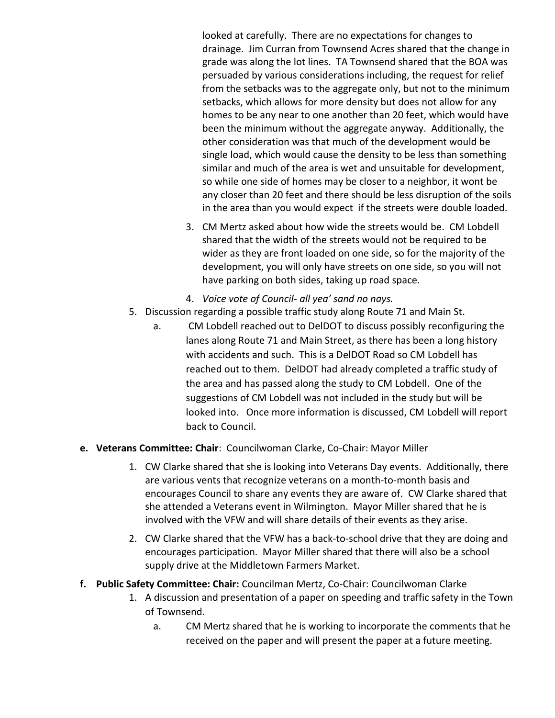looked at carefully. There are no expectations for changes to drainage. Jim Curran from Townsend Acres shared that the change in grade was along the lot lines. TA Townsend shared that the BOA was persuaded by various considerations including, the request for relief from the setbacks was to the aggregate only, but not to the minimum setbacks, which allows for more density but does not allow for any homes to be any near to one another than 20 feet, which would have been the minimum without the aggregate anyway. Additionally, the other consideration was that much of the development would be single load, which would cause the density to be less than something similar and much of the area is wet and unsuitable for development, so while one side of homes may be closer to a neighbor, it wont be any closer than 20 feet and there should be less disruption of the soils in the area than you would expect if the streets were double loaded.

- 3. CM Mertz asked about how wide the streets would be. CM Lobdell shared that the width of the streets would not be required to be wider as they are front loaded on one side, so for the majority of the development, you will only have streets on one side, so you will not have parking on both sides, taking up road space.
- 4. *Voice vote of Council- all yea' sand no nays.*
- 5. Discussion regarding a possible traffic study along Route 71 and Main St.
	- a. CM Lobdell reached out to DelDOT to discuss possibly reconfiguring the lanes along Route 71 and Main Street, as there has been a long history with accidents and such. This is a DelDOT Road so CM Lobdell has reached out to them. DelDOT had already completed a traffic study of the area and has passed along the study to CM Lobdell. One of the suggestions of CM Lobdell was not included in the study but will be looked into. Once more information is discussed, CM Lobdell will report back to Council.
- **e. Veterans Committee: Chair**: Councilwoman Clarke, Co-Chair: Mayor Miller
	- 1. CW Clarke shared that she is looking into Veterans Day events. Additionally, there are various vents that recognize veterans on a month-to-month basis and encourages Council to share any events they are aware of. CW Clarke shared that she attended a Veterans event in Wilmington. Mayor Miller shared that he is involved with the VFW and will share details of their events as they arise.
	- 2. CW Clarke shared that the VFW has a back-to-school drive that they are doing and encourages participation. Mayor Miller shared that there will also be a school supply drive at the Middletown Farmers Market.
- **f. Public Safety Committee: Chair:** Councilman Mertz, Co-Chair: Councilwoman Clarke
	- 1. A discussion and presentation of a paper on speeding and traffic safety in the Town of Townsend.
		- a. CM Mertz shared that he is working to incorporate the comments that he received on the paper and will present the paper at a future meeting.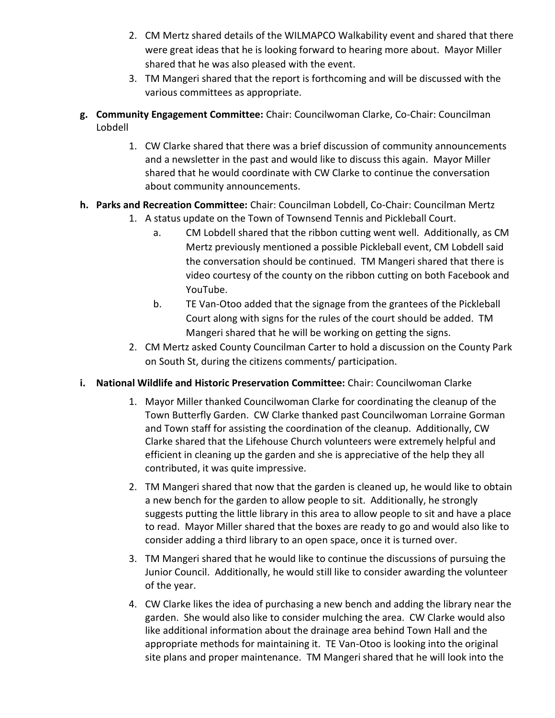- 2. CM Mertz shared details of the WILMAPCO Walkability event and shared that there were great ideas that he is looking forward to hearing more about. Mayor Miller shared that he was also pleased with the event.
- 3. TM Mangeri shared that the report is forthcoming and will be discussed with the various committees as appropriate.
- **g. Community Engagement Committee:** Chair: Councilwoman Clarke, Co-Chair: Councilman Lobdell
	- 1. CW Clarke shared that there was a brief discussion of community announcements and a newsletter in the past and would like to discuss this again. Mayor Miller shared that he would coordinate with CW Clarke to continue the conversation about community announcements.
- **h. Parks and Recreation Committee:** Chair: Councilman Lobdell, Co-Chair: Councilman Mertz
	- 1. A status update on the Town of Townsend Tennis and Pickleball Court.
		- a. CM Lobdell shared that the ribbon cutting went well. Additionally, as CM Mertz previously mentioned a possible Pickleball event, CM Lobdell said the conversation should be continued. TM Mangeri shared that there is video courtesy of the county on the ribbon cutting on both Facebook and YouTube.
		- b. TE Van-Otoo added that the signage from the grantees of the Pickleball Court along with signs for the rules of the court should be added. TM Mangeri shared that he will be working on getting the signs.
	- 2. CM Mertz asked County Councilman Carter to hold a discussion on the County Park on South St, during the citizens comments/ participation.
- **i. National Wildlife and Historic Preservation Committee:** Chair: Councilwoman Clarke
	- 1. Mayor Miller thanked Councilwoman Clarke for coordinating the cleanup of the Town Butterfly Garden. CW Clarke thanked past Councilwoman Lorraine Gorman and Town staff for assisting the coordination of the cleanup. Additionally, CW Clarke shared that the Lifehouse Church volunteers were extremely helpful and efficient in cleaning up the garden and she is appreciative of the help they all contributed, it was quite impressive.
	- 2. TM Mangeri shared that now that the garden is cleaned up, he would like to obtain a new bench for the garden to allow people to sit. Additionally, he strongly suggests putting the little library in this area to allow people to sit and have a place to read. Mayor Miller shared that the boxes are ready to go and would also like to consider adding a third library to an open space, once it is turned over.
	- 3. TM Mangeri shared that he would like to continue the discussions of pursuing the Junior Council. Additionally, he would still like to consider awarding the volunteer of the year.
	- 4. CW Clarke likes the idea of purchasing a new bench and adding the library near the garden. She would also like to consider mulching the area. CW Clarke would also like additional information about the drainage area behind Town Hall and the appropriate methods for maintaining it. TE Van-Otoo is looking into the original site plans and proper maintenance. TM Mangeri shared that he will look into the